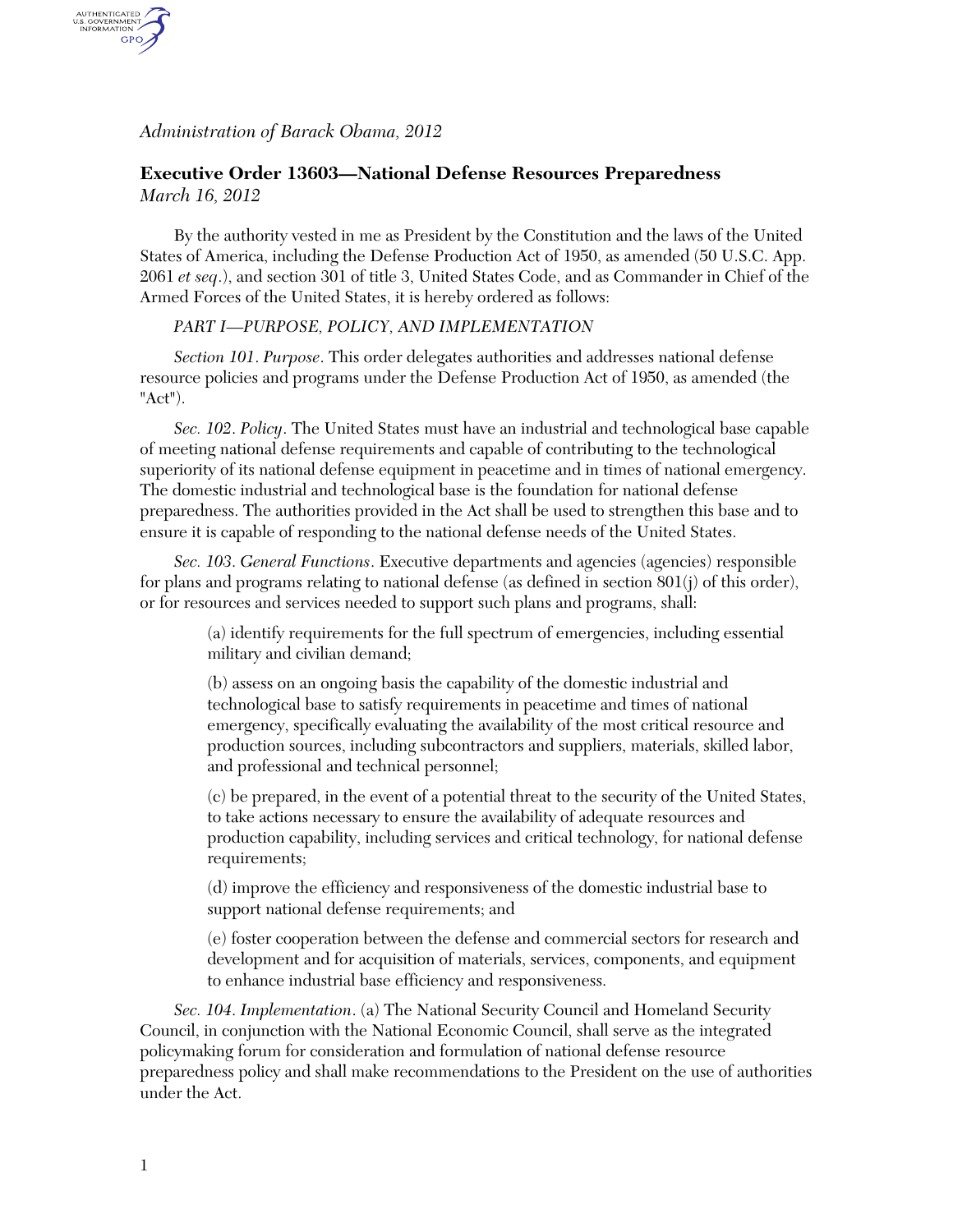*Administration of Barack Obama, 2012* 

AUTHENTICATED<br>U.S. GOVERNMENT<br>INFORMATION GPO.

# **Executive Order 13603—National Defense Resources Preparedness**  *March 16, 2012*

By the authority vested in me as President by the Constitution and the laws of the United States of America, including the Defense Production Act of 1950, as amended (50 U.S.C. App. 2061 *et seq*.), and section 301 of title 3, United States Code, and as Commander in Chief of the Armed Forces of the United States, it is hereby ordered as follows:

### *PART I—PURPOSE, POLICY, AND IMPLEMENTATION*

*Section 101*. *Purpose*. This order delegates authorities and addresses national defense resource policies and programs under the Defense Production Act of 1950, as amended (the "Act").

*Sec. 102*. *Policy*. The United States must have an industrial and technological base capable of meeting national defense requirements and capable of contributing to the technological superiority of its national defense equipment in peacetime and in times of national emergency. The domestic industrial and technological base is the foundation for national defense preparedness. The authorities provided in the Act shall be used to strengthen this base and to ensure it is capable of responding to the national defense needs of the United States.

*Sec. 103*. *General Functions*. Executive departments and agencies (agencies) responsible for plans and programs relating to national defense (as defined in section 801(j) of this order), or for resources and services needed to support such plans and programs, shall:

> (a) identify requirements for the full spectrum of emergencies, including essential military and civilian demand;

(b) assess on an ongoing basis the capability of the domestic industrial and technological base to satisfy requirements in peacetime and times of national emergency, specifically evaluating the availability of the most critical resource and production sources, including subcontractors and suppliers, materials, skilled labor, and professional and technical personnel;

(c) be prepared, in the event of a potential threat to the security of the United States, to take actions necessary to ensure the availability of adequate resources and production capability, including services and critical technology, for national defense requirements;

(d) improve the efficiency and responsiveness of the domestic industrial base to support national defense requirements; and

(e) foster cooperation between the defense and commercial sectors for research and development and for acquisition of materials, services, components, and equipment to enhance industrial base efficiency and responsiveness.

*Sec. 104*. *Implementation*. (a) The National Security Council and Homeland Security Council, in conjunction with the National Economic Council, shall serve as the integrated policymaking forum for consideration and formulation of national defense resource preparedness policy and shall make recommendations to the President on the use of authorities under the Act.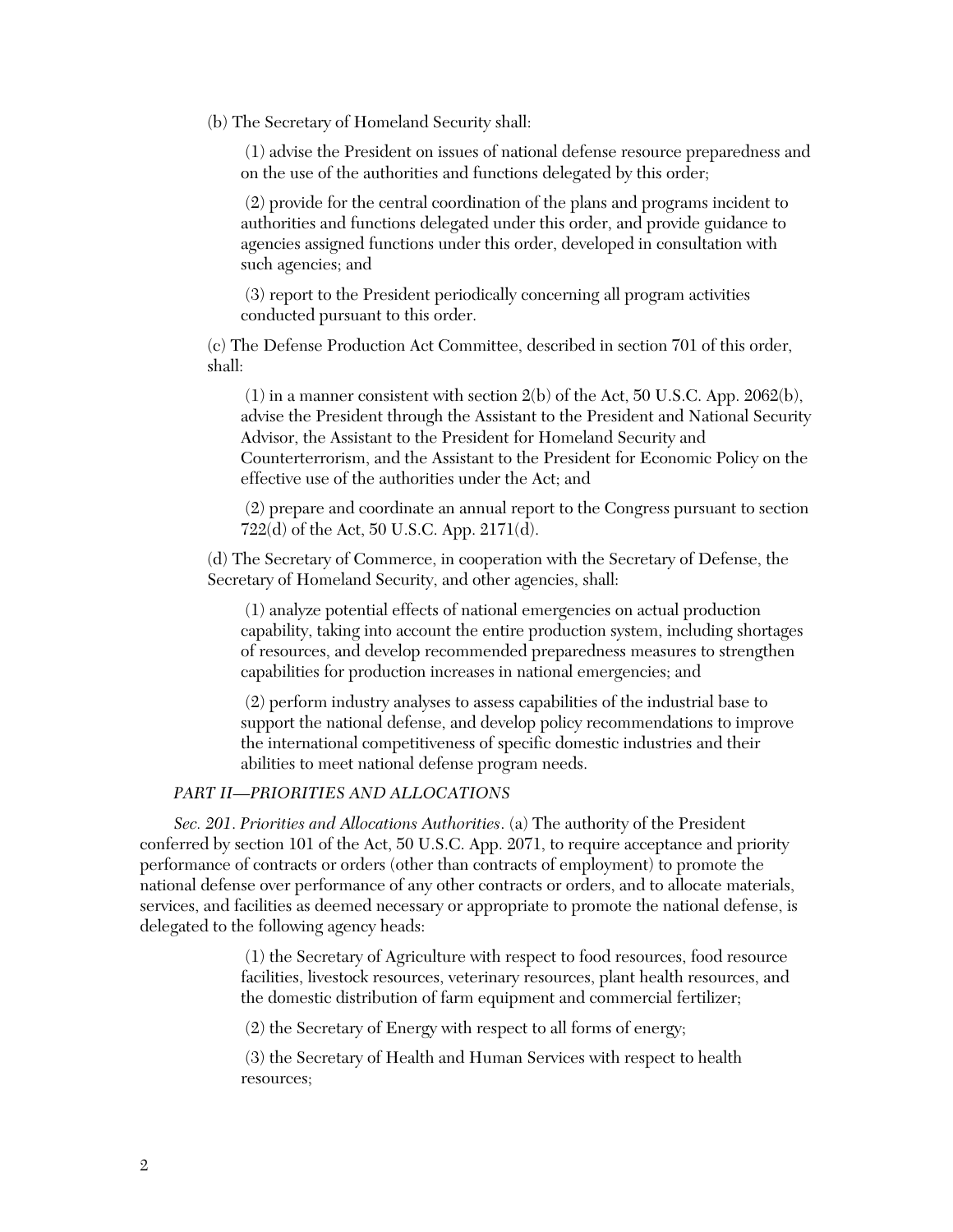(b) The Secretary of Homeland Security shall:

 (1) advise the President on issues of national defense resource preparedness and on the use of the authorities and functions delegated by this order;

 (2) provide for the central coordination of the plans and programs incident to authorities and functions delegated under this order, and provide guidance to agencies assigned functions under this order, developed in consultation with such agencies; and

 (3) report to the President periodically concerning all program activities conducted pursuant to this order.

(c) The Defense Production Act Committee, described in section 701 of this order, shall:

 (1) in a manner consistent with section 2(b) of the Act, 50 U.S.C. App. 2062(b), advise the President through the Assistant to the President and National Security Advisor, the Assistant to the President for Homeland Security and Counterterrorism, and the Assistant to the President for Economic Policy on the effective use of the authorities under the Act; and

 (2) prepare and coordinate an annual report to the Congress pursuant to section 722(d) of the Act, 50 U.S.C. App. 2171(d).

(d) The Secretary of Commerce, in cooperation with the Secretary of Defense, the Secretary of Homeland Security, and other agencies, shall:

 (1) analyze potential effects of national emergencies on actual production capability, taking into account the entire production system, including shortages of resources, and develop recommended preparedness measures to strengthen capabilities for production increases in national emergencies; and

 (2) perform industry analyses to assess capabilities of the industrial base to support the national defense, and develop policy recommendations to improve the international competitiveness of specific domestic industries and their abilities to meet national defense program needs.

### *PART II—PRIORITIES AND ALLOCATIONS*

*Sec. 201*. *Priorities and Allocations Authorities*. (a) The authority of the President conferred by section 101 of the Act, 50 U.S.C. App. 2071, to require acceptance and priority performance of contracts or orders (other than contracts of employment) to promote the national defense over performance of any other contracts or orders, and to allocate materials, services, and facilities as deemed necessary or appropriate to promote the national defense, is delegated to the following agency heads:

> (1) the Secretary of Agriculture with respect to food resources, food resource facilities, livestock resources, veterinary resources, plant health resources, and the domestic distribution of farm equipment and commercial fertilizer;

(2) the Secretary of Energy with respect to all forms of energy;

 (3) the Secretary of Health and Human Services with respect to health resources;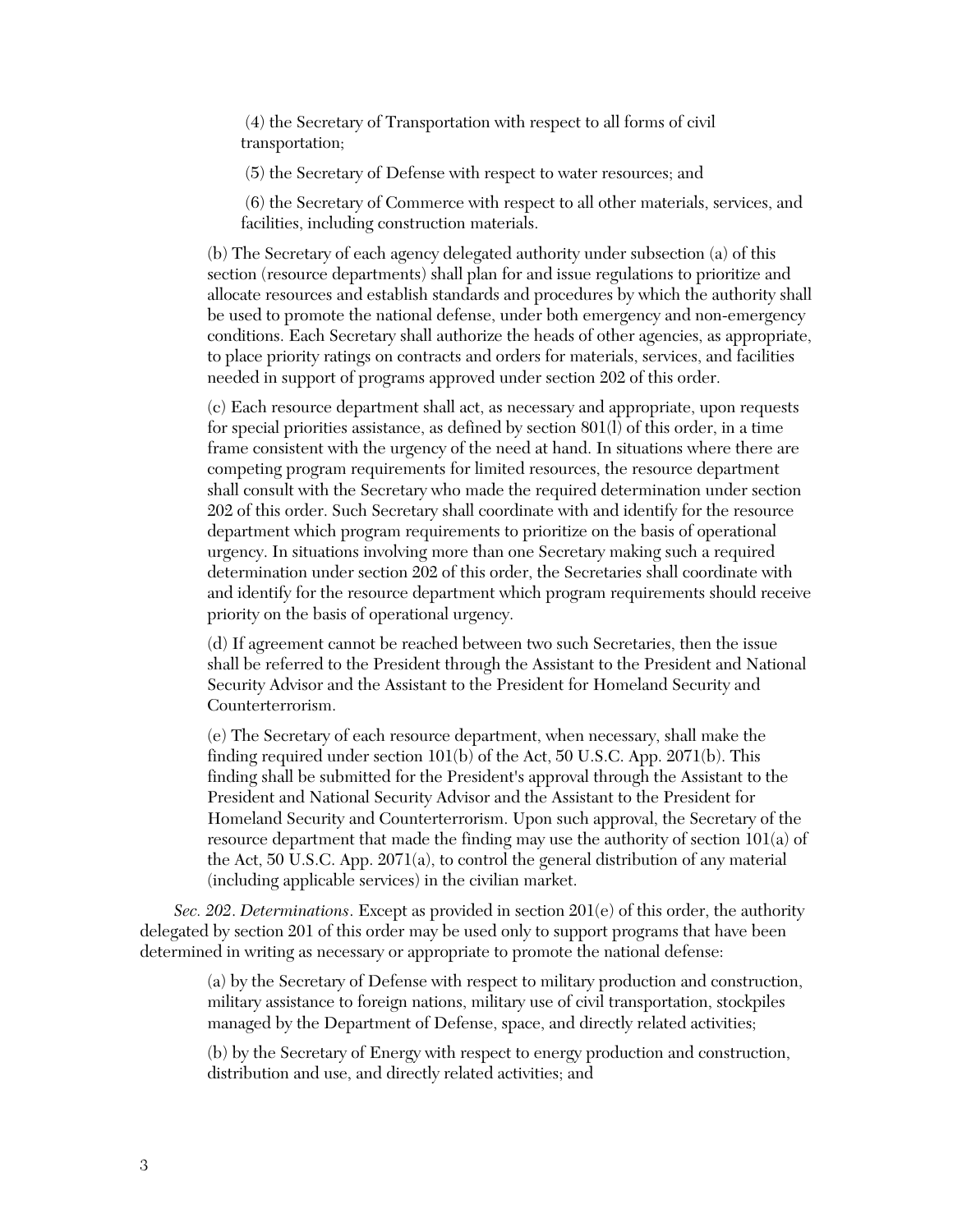(4) the Secretary of Transportation with respect to all forms of civil transportation;

(5) the Secretary of Defense with respect to water resources; and

 (6) the Secretary of Commerce with respect to all other materials, services, and facilities, including construction materials.

(b) The Secretary of each agency delegated authority under subsection (a) of this section (resource departments) shall plan for and issue regulations to prioritize and allocate resources and establish standards and procedures by which the authority shall be used to promote the national defense, under both emergency and non-emergency conditions. Each Secretary shall authorize the heads of other agencies, as appropriate, to place priority ratings on contracts and orders for materials, services, and facilities needed in support of programs approved under section 202 of this order.

(c) Each resource department shall act, as necessary and appropriate, upon requests for special priorities assistance, as defined by section 801(l) of this order, in a time frame consistent with the urgency of the need at hand. In situations where there are competing program requirements for limited resources, the resource department shall consult with the Secretary who made the required determination under section 202 of this order. Such Secretary shall coordinate with and identify for the resource department which program requirements to prioritize on the basis of operational urgency. In situations involving more than one Secretary making such a required determination under section 202 of this order, the Secretaries shall coordinate with and identify for the resource department which program requirements should receive priority on the basis of operational urgency.

(d) If agreement cannot be reached between two such Secretaries, then the issue shall be referred to the President through the Assistant to the President and National Security Advisor and the Assistant to the President for Homeland Security and Counterterrorism.

(e) The Secretary of each resource department, when necessary, shall make the finding required under section 101(b) of the Act, 50 U.S.C. App. 2071(b). This finding shall be submitted for the President's approval through the Assistant to the President and National Security Advisor and the Assistant to the President for Homeland Security and Counterterrorism. Upon such approval, the Secretary of the resource department that made the finding may use the authority of section  $101(a)$  of the Act, 50 U.S.C. App. 2071(a), to control the general distribution of any material (including applicable services) in the civilian market.

*Sec. 202*. *Determinations*. Except as provided in section 201(e) of this order, the authority delegated by section 201 of this order may be used only to support programs that have been determined in writing as necessary or appropriate to promote the national defense:

(a) by the Secretary of Defense with respect to military production and construction, military assistance to foreign nations, military use of civil transportation, stockpiles managed by the Department of Defense, space, and directly related activities;

(b) by the Secretary of Energy with respect to energy production and construction, distribution and use, and directly related activities; and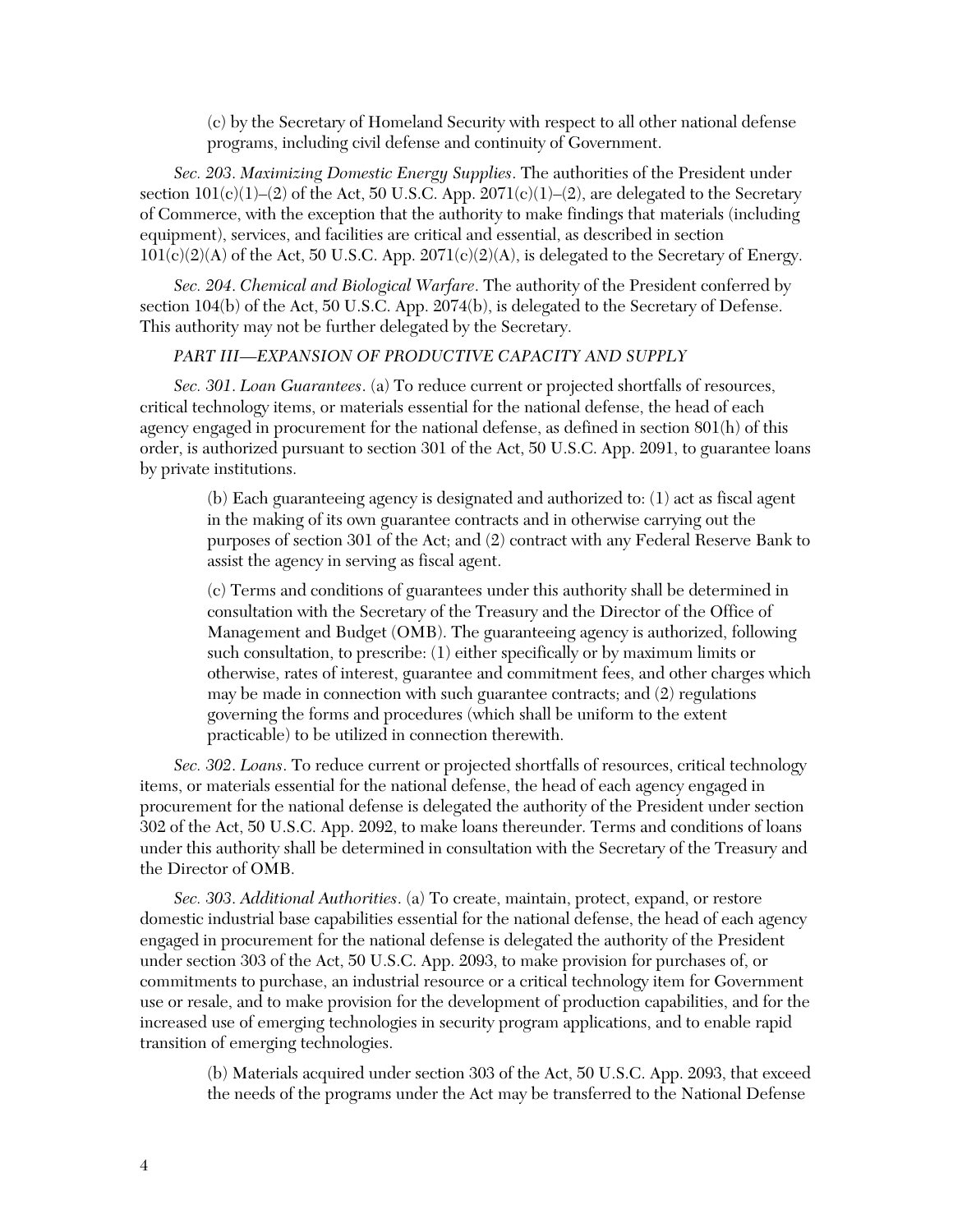(c) by the Secretary of Homeland Security with respect to all other national defense programs, including civil defense and continuity of Government.

*Sec. 203*. *Maximizing Domestic Energy Supplies*. The authorities of the President under section  $101(c)(1)-(2)$  of the Act, 50 U.S.C. App.  $2071(c)(1)-(2)$ , are delegated to the Secretary of Commerce, with the exception that the authority to make findings that materials (including equipment), services, and facilities are critical and essential, as described in section  $101(c)(2)(A)$  of the Act, 50 U.S.C. App.  $2071(c)(2)(A)$ , is delegated to the Secretary of Energy.

*Sec. 204*. *Chemical and Biological Warfare*. The authority of the President conferred by section 104(b) of the Act, 50 U.S.C. App. 2074(b), is delegated to the Secretary of Defense. This authority may not be further delegated by the Secretary.

### *PART III—EXPANSION OF PRODUCTIVE CAPACITY AND SUPPLY*

*Sec. 301*. *Loan Guarantees*. (a) To reduce current or projected shortfalls of resources, critical technology items, or materials essential for the national defense, the head of each agency engaged in procurement for the national defense, as defined in section 801(h) of this order, is authorized pursuant to section 301 of the Act, 50 U.S.C. App. 2091, to guarantee loans by private institutions.

(b) Each guaranteeing agency is designated and authorized to: (1) act as fiscal agent in the making of its own guarantee contracts and in otherwise carrying out the purposes of section 301 of the Act; and (2) contract with any Federal Reserve Bank to assist the agency in serving as fiscal agent.

(c) Terms and conditions of guarantees under this authority shall be determined in consultation with the Secretary of the Treasury and the Director of the Office of Management and Budget (OMB). The guaranteeing agency is authorized, following such consultation, to prescribe: (1) either specifically or by maximum limits or otherwise, rates of interest, guarantee and commitment fees, and other charges which may be made in connection with such guarantee contracts; and  $(2)$  regulations governing the forms and procedures (which shall be uniform to the extent practicable) to be utilized in connection therewith.

*Sec. 302*. *Loans*. To reduce current or projected shortfalls of resources, critical technology items, or materials essential for the national defense, the head of each agency engaged in procurement for the national defense is delegated the authority of the President under section 302 of the Act, 50 U.S.C. App. 2092, to make loans thereunder. Terms and conditions of loans under this authority shall be determined in consultation with the Secretary of the Treasury and the Director of OMB.

*Sec. 303*. *Additional Authorities*. (a) To create, maintain, protect, expand, or restore domestic industrial base capabilities essential for the national defense, the head of each agency engaged in procurement for the national defense is delegated the authority of the President under section 303 of the Act, 50 U.S.C. App. 2093, to make provision for purchases of, or commitments to purchase, an industrial resource or a critical technology item for Government use or resale, and to make provision for the development of production capabilities, and for the increased use of emerging technologies in security program applications, and to enable rapid transition of emerging technologies.

(b) Materials acquired under section 303 of the Act, 50 U.S.C. App. 2093, that exceed the needs of the programs under the Act may be transferred to the National Defense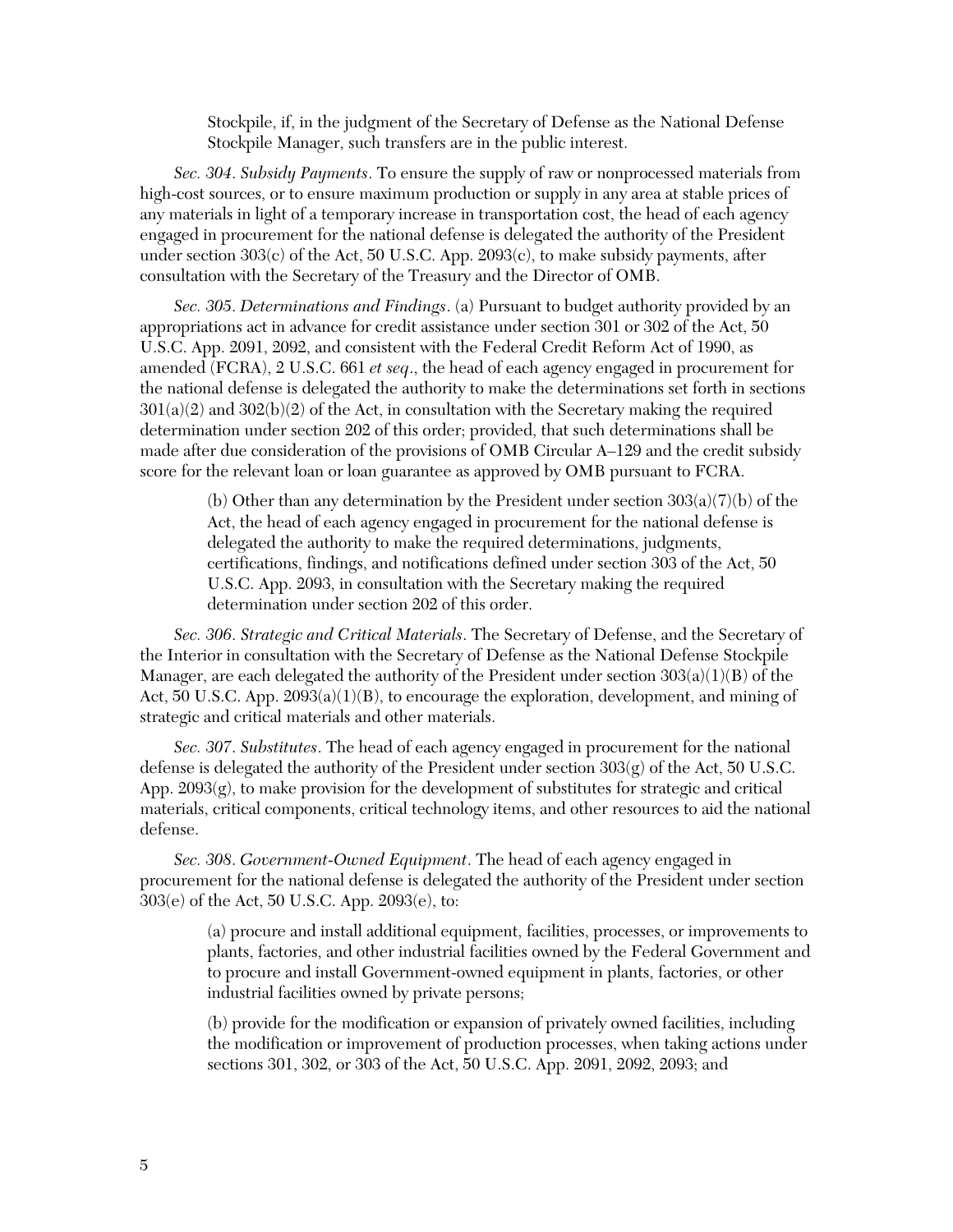Stockpile, if, in the judgment of the Secretary of Defense as the National Defense Stockpile Manager, such transfers are in the public interest.

*Sec. 304*. *Subsidy Payments*. To ensure the supply of raw or nonprocessed materials from high-cost sources, or to ensure maximum production or supply in any area at stable prices of any materials in light of a temporary increase in transportation cost, the head of each agency engaged in procurement for the national defense is delegated the authority of the President under section 303(c) of the Act, 50 U.S.C. App. 2093(c), to make subsidy payments, after consultation with the Secretary of the Treasury and the Director of OMB.

*Sec. 305*. *Determinations and Findings*. (a) Pursuant to budget authority provided by an appropriations act in advance for credit assistance under section 301 or 302 of the Act, 50 U.S.C. App. 2091, 2092, and consistent with the Federal Credit Reform Act of 1990, as amended (FCRA), 2 U.S.C. 661 *et seq*., the head of each agency engaged in procurement for the national defense is delegated the authority to make the determinations set forth in sections  $301(a)(2)$  and  $302(b)(2)$  of the Act, in consultation with the Secretary making the required determination under section 202 of this order; provided, that such determinations shall be made after due consideration of the provisions of OMB Circular A–129 and the credit subsidy score for the relevant loan or loan guarantee as approved by OMB pursuant to FCRA.

(b) Other than any determination by the President under section  $303(a)(7)(b)$  of the Act, the head of each agency engaged in procurement for the national defense is delegated the authority to make the required determinations, judgments, certifications, findings, and notifications defined under section 303 of the Act, 50 U.S.C. App. 2093, in consultation with the Secretary making the required determination under section 202 of this order.

*Sec. 306*. *Strategic and Critical Materials*. The Secretary of Defense, and the Secretary of the Interior in consultation with the Secretary of Defense as the National Defense Stockpile Manager, are each delegated the authority of the President under section  $303(a)(1)(B)$  of the Act, 50 U.S.C. App.  $2093(a)(1)(B)$ , to encourage the exploration, development, and mining of strategic and critical materials and other materials.

*Sec. 307*. *Substitutes*. The head of each agency engaged in procurement for the national defense is delegated the authority of the President under section  $303(g)$  of the Act, 50 U.S.C. App. 2093(g), to make provision for the development of substitutes for strategic and critical materials, critical components, critical technology items, and other resources to aid the national defense.

*Sec. 308*. *Government-Owned Equipment*. The head of each agency engaged in procurement for the national defense is delegated the authority of the President under section 303(e) of the Act, 50 U.S.C. App. 2093(e), to:

(a) procure and install additional equipment, facilities, processes, or improvements to plants, factories, and other industrial facilities owned by the Federal Government and to procure and install Government-owned equipment in plants, factories, or other industrial facilities owned by private persons;

(b) provide for the modification or expansion of privately owned facilities, including the modification or improvement of production processes, when taking actions under sections 301, 302, or 303 of the Act, 50 U.S.C. App. 2091, 2092, 2093; and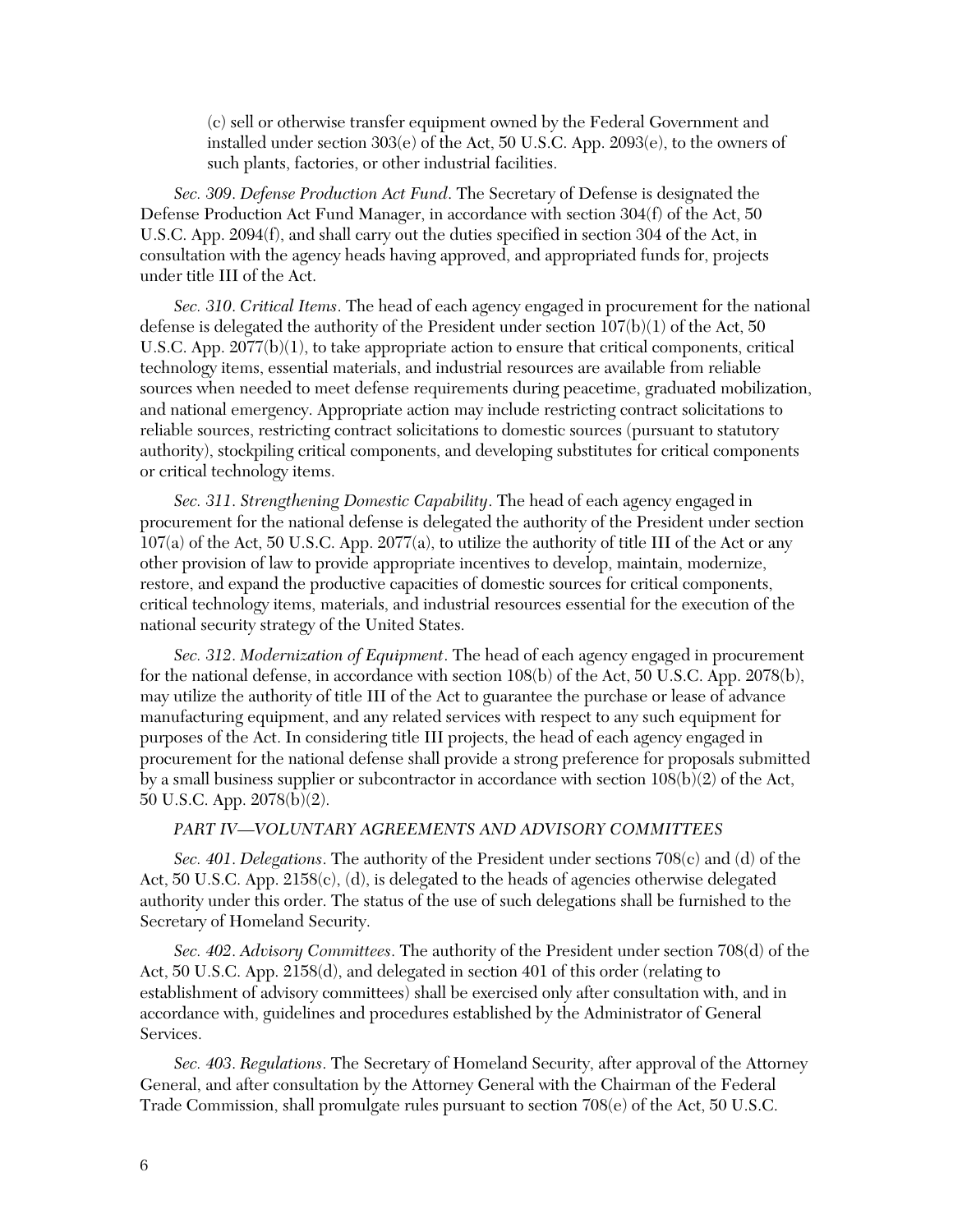(c) sell or otherwise transfer equipment owned by the Federal Government and installed under section 303(e) of the Act, 50 U.S.C. App. 2093(e), to the owners of such plants, factories, or other industrial facilities.

*Sec. 309*. *Defense Production Act Fund*. The Secretary of Defense is designated the Defense Production Act Fund Manager, in accordance with section 304(f) of the Act, 50 U.S.C. App. 2094(f), and shall carry out the duties specified in section 304 of the Act, in consultation with the agency heads having approved, and appropriated funds for, projects under title III of the Act.

*Sec. 310*. *Critical Items*. The head of each agency engaged in procurement for the national defense is delegated the authority of the President under section  $107(b)(1)$  of the Act, 50 U.S.C. App.  $2077(b)(1)$ , to take appropriate action to ensure that critical components, critical technology items, essential materials, and industrial resources are available from reliable sources when needed to meet defense requirements during peacetime, graduated mobilization, and national emergency. Appropriate action may include restricting contract solicitations to reliable sources, restricting contract solicitations to domestic sources (pursuant to statutory authority), stockpiling critical components, and developing substitutes for critical components or critical technology items.

*Sec. 311*. *Strengthening Domestic Capability*. The head of each agency engaged in procurement for the national defense is delegated the authority of the President under section 107(a) of the Act, 50 U.S.C. App. 2077(a), to utilize the authority of title III of the Act or any other provision of law to provide appropriate incentives to develop, maintain, modernize, restore, and expand the productive capacities of domestic sources for critical components, critical technology items, materials, and industrial resources essential for the execution of the national security strategy of the United States.

*Sec. 312*. *Modernization of Equipment*. The head of each agency engaged in procurement for the national defense, in accordance with section 108(b) of the Act, 50 U.S.C. App. 2078(b), may utilize the authority of title III of the Act to guarantee the purchase or lease of advance manufacturing equipment, and any related services with respect to any such equipment for purposes of the Act. In considering title III projects, the head of each agency engaged in procurement for the national defense shall provide a strong preference for proposals submitted by a small business supplier or subcontractor in accordance with section 108(b)(2) of the Act, 50 U.S.C. App. 2078(b)(2).

### *PART IV—VOLUNTARY AGREEMENTS AND ADVISORY COMMITTEES*

*Sec. 401*. *Delegations*. The authority of the President under sections 708(c) and (d) of the Act, 50 U.S.C. App. 2158(c), (d), is delegated to the heads of agencies otherwise delegated authority under this order. The status of the use of such delegations shall be furnished to the Secretary of Homeland Security.

*Sec. 402*. *Advisory Committees*. The authority of the President under section 708(d) of the Act, 50 U.S.C. App. 2158(d), and delegated in section 401 of this order (relating to establishment of advisory committees) shall be exercised only after consultation with, and in accordance with, guidelines and procedures established by the Administrator of General Services.

*Sec. 403*. *Regulations*. The Secretary of Homeland Security, after approval of the Attorney General, and after consultation by the Attorney General with the Chairman of the Federal Trade Commission, shall promulgate rules pursuant to section 708(e) of the Act, 50 U.S.C.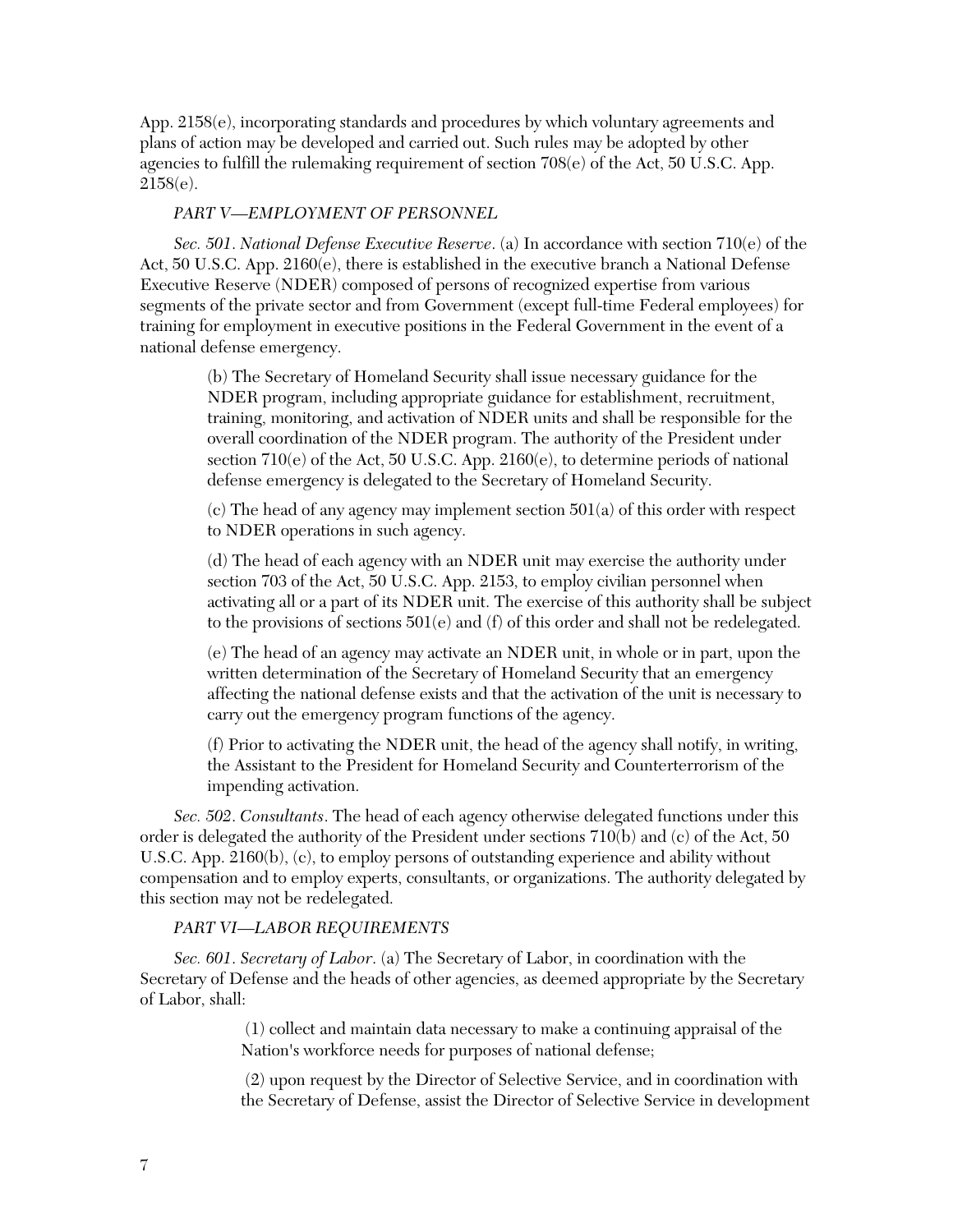App. 2158(e), incorporating standards and procedures by which voluntary agreements and plans of action may be developed and carried out. Such rules may be adopted by other agencies to fulfill the rulemaking requirement of section 708(e) of the Act, 50 U.S.C. App. 2158(e).

### *PART V—EMPLOYMENT OF PERSONNEL*

*Sec. 501*. *National Defense Executive Reserve*. (a) In accordance with section 710(e) of the Act, 50 U.S.C. App. 2160(e), there is established in the executive branch a National Defense Executive Reserve (NDER) composed of persons of recognized expertise from various segments of the private sector and from Government (except full-time Federal employees) for training for employment in executive positions in the Federal Government in the event of a national defense emergency.

(b) The Secretary of Homeland Security shall issue necessary guidance for the NDER program, including appropriate guidance for establishment, recruitment, training, monitoring, and activation of NDER units and shall be responsible for the overall coordination of the NDER program. The authority of the President under section 710(e) of the Act, 50 U.S.C. App. 2160(e), to determine periods of national defense emergency is delegated to the Secretary of Homeland Security.

 $(c)$  The head of any agency may implement section 501(a) of this order with respect to NDER operations in such agency.

(d) The head of each agency with an NDER unit may exercise the authority under section 703 of the Act, 50 U.S.C. App. 2153, to employ civilian personnel when activating all or a part of its NDER unit. The exercise of this authority shall be subject to the provisions of sections  $501(e)$  and (f) of this order and shall not be redelegated.

(e) The head of an agency may activate an NDER unit, in whole or in part, upon the written determination of the Secretary of Homeland Security that an emergency affecting the national defense exists and that the activation of the unit is necessary to carry out the emergency program functions of the agency.

(f) Prior to activating the NDER unit, the head of the agency shall notify, in writing, the Assistant to the President for Homeland Security and Counterterrorism of the impending activation.

*Sec. 502*. *Consultants*. The head of each agency otherwise delegated functions under this order is delegated the authority of the President under sections 710(b) and (c) of the Act, 50 U.S.C. App. 2160(b), (c), to employ persons of outstanding experience and ability without compensation and to employ experts, consultants, or organizations. The authority delegated by this section may not be redelegated.

### *PART VI—LABOR REQUIREMENTS*

*Sec. 601*. *Secretary of Labor*. (a) The Secretary of Labor, in coordination with the Secretary of Defense and the heads of other agencies, as deemed appropriate by the Secretary of Labor, shall:

> (1) collect and maintain data necessary to make a continuing appraisal of the Nation's workforce needs for purposes of national defense;

 (2) upon request by the Director of Selective Service, and in coordination with the Secretary of Defense, assist the Director of Selective Service in development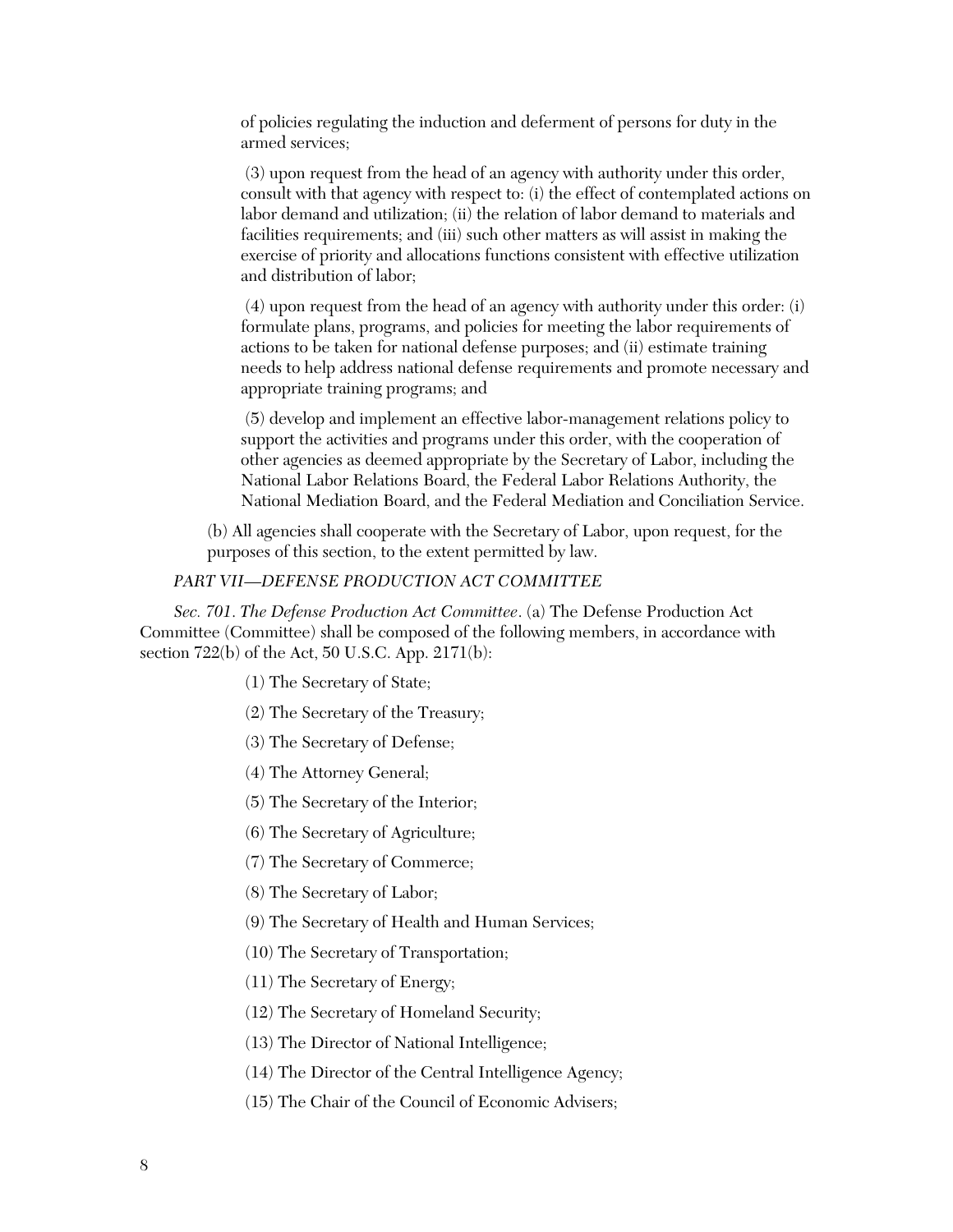of policies regulating the induction and deferment of persons for duty in the armed services;

 (3) upon request from the head of an agency with authority under this order, consult with that agency with respect to: (i) the effect of contemplated actions on labor demand and utilization; (ii) the relation of labor demand to materials and facilities requirements; and (iii) such other matters as will assist in making the exercise of priority and allocations functions consistent with effective utilization and distribution of labor;

 (4) upon request from the head of an agency with authority under this order: (i) formulate plans, programs, and policies for meeting the labor requirements of actions to be taken for national defense purposes; and (ii) estimate training needs to help address national defense requirements and promote necessary and appropriate training programs; and

 (5) develop and implement an effective labor-management relations policy to support the activities and programs under this order, with the cooperation of other agencies as deemed appropriate by the Secretary of Labor, including the National Labor Relations Board, the Federal Labor Relations Authority, the National Mediation Board, and the Federal Mediation and Conciliation Service.

(b) All agencies shall cooperate with the Secretary of Labor, upon request, for the purposes of this section, to the extent permitted by law.

## *PART VII—DEFENSE PRODUCTION ACT COMMITTEE*

*Sec. 701*. *The Defense Production Act Committee*. (a) The Defense Production Act Committee (Committee) shall be composed of the following members, in accordance with section  $722(b)$  of the Act, 50 U.S.C. App.  $2171(b)$ :

(1) The Secretary of State;

- (2) The Secretary of the Treasury;
- (3) The Secretary of Defense;
- (4) The Attorney General;

(5) The Secretary of the Interior;

- (6) The Secretary of Agriculture;
- (7) The Secretary of Commerce;
- (8) The Secretary of Labor;
- (9) The Secretary of Health and Human Services;
- (10) The Secretary of Transportation;
- (11) The Secretary of Energy;
- (12) The Secretary of Homeland Security;
- (13) The Director of National Intelligence;
- (14) The Director of the Central Intelligence Agency;
- (15) The Chair of the Council of Economic Advisers;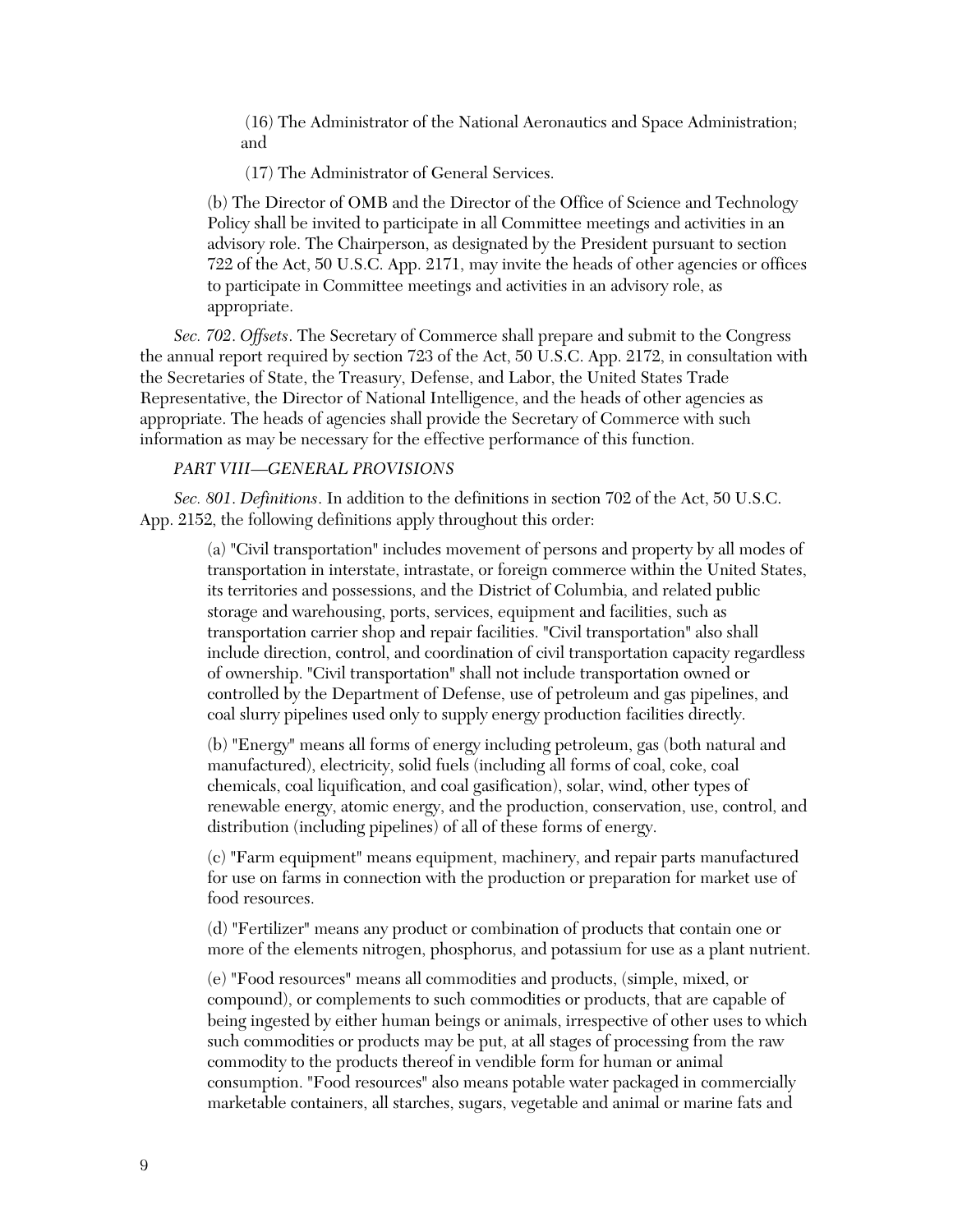(16) The Administrator of the National Aeronautics and Space Administration; and

(17) The Administrator of General Services.

(b) The Director of OMB and the Director of the Office of Science and Technology Policy shall be invited to participate in all Committee meetings and activities in an advisory role. The Chairperson, as designated by the President pursuant to section 722 of the Act, 50 U.S.C. App. 2171, may invite the heads of other agencies or offices to participate in Committee meetings and activities in an advisory role, as appropriate.

*Sec. 702*. *Offsets*. The Secretary of Commerce shall prepare and submit to the Congress the annual report required by section 723 of the Act, 50 U.S.C. App. 2172, in consultation with the Secretaries of State, the Treasury, Defense, and Labor, the United States Trade Representative, the Director of National Intelligence, and the heads of other agencies as appropriate. The heads of agencies shall provide the Secretary of Commerce with such information as may be necessary for the effective performance of this function.

#### *PART VIII—GENERAL PROVISIONS*

*Sec. 801*. *Definitions*. In addition to the definitions in section 702 of the Act, 50 U.S.C. App. 2152, the following definitions apply throughout this order:

> (a) "Civil transportation" includes movement of persons and property by all modes of transportation in interstate, intrastate, or foreign commerce within the United States, its territories and possessions, and the District of Columbia, and related public storage and warehousing, ports, services, equipment and facilities, such as transportation carrier shop and repair facilities. "Civil transportation" also shall include direction, control, and coordination of civil transportation capacity regardless of ownership. "Civil transportation" shall not include transportation owned or controlled by the Department of Defense, use of petroleum and gas pipelines, and coal slurry pipelines used only to supply energy production facilities directly.

> (b) "Energy" means all forms of energy including petroleum, gas (both natural and manufactured), electricity, solid fuels (including all forms of coal, coke, coal chemicals, coal liquification, and coal gasification), solar, wind, other types of renewable energy, atomic energy, and the production, conservation, use, control, and distribution (including pipelines) of all of these forms of energy.

(c) "Farm equipment" means equipment, machinery, and repair parts manufactured for use on farms in connection with the production or preparation for market use of food resources.

(d) "Fertilizer" means any product or combination of products that contain one or more of the elements nitrogen, phosphorus, and potassium for use as a plant nutrient.

(e) "Food resources" means all commodities and products, (simple, mixed, or compound), or complements to such commodities or products, that are capable of being ingested by either human beings or animals, irrespective of other uses to which such commodities or products may be put, at all stages of processing from the raw commodity to the products thereof in vendible form for human or animal consumption. "Food resources" also means potable water packaged in commercially marketable containers, all starches, sugars, vegetable and animal or marine fats and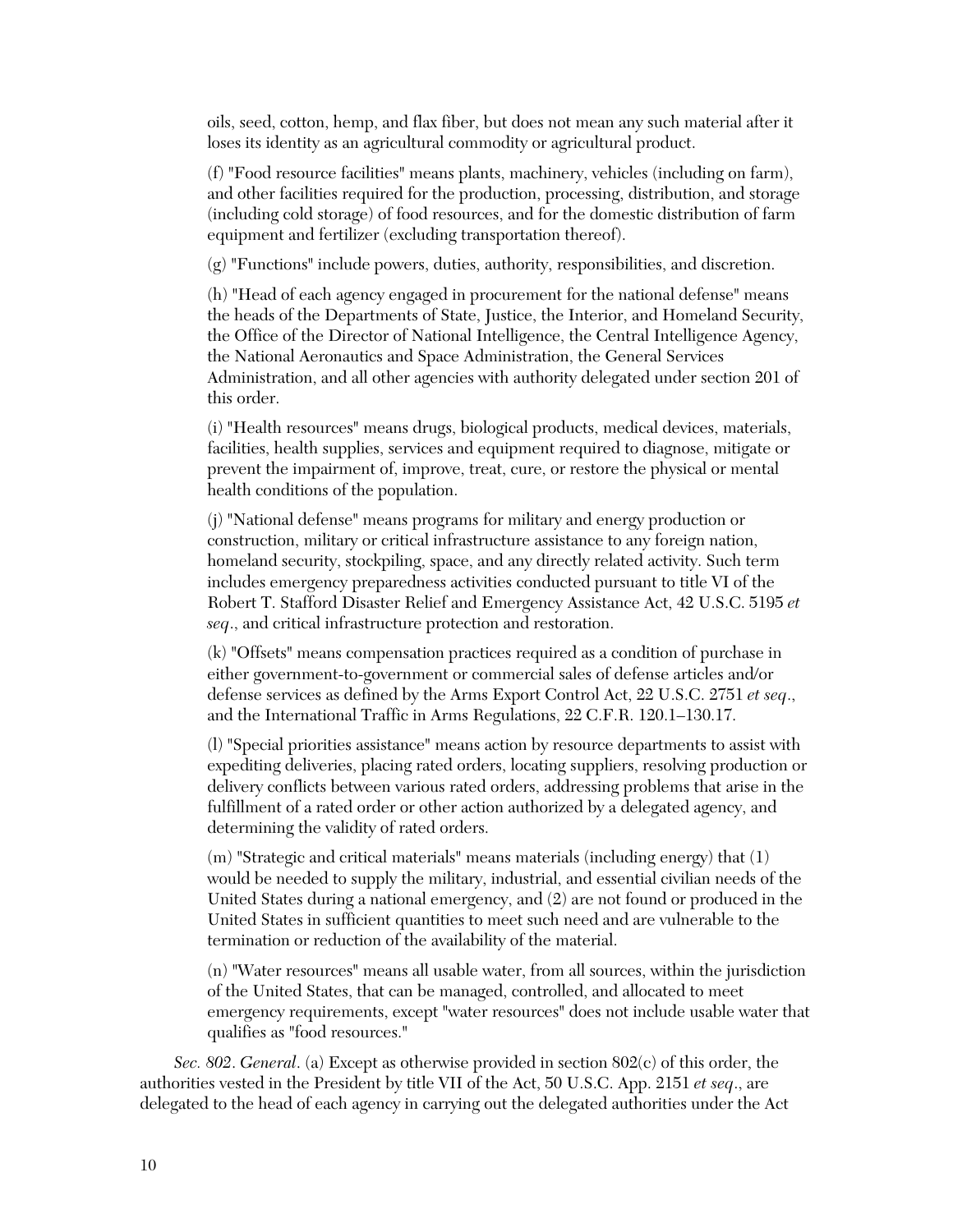oils, seed, cotton, hemp, and flax fiber, but does not mean any such material after it loses its identity as an agricultural commodity or agricultural product.

(f) "Food resource facilities" means plants, machinery, vehicles (including on farm), and other facilities required for the production, processing, distribution, and storage (including cold storage) of food resources, and for the domestic distribution of farm equipment and fertilizer (excluding transportation thereof).

(g) "Functions" include powers, duties, authority, responsibilities, and discretion.

(h) "Head of each agency engaged in procurement for the national defense" means the heads of the Departments of State, Justice, the Interior, and Homeland Security, the Office of the Director of National Intelligence, the Central Intelligence Agency, the National Aeronautics and Space Administration, the General Services Administration, and all other agencies with authority delegated under section 201 of this order.

(i) "Health resources" means drugs, biological products, medical devices, materials, facilities, health supplies, services and equipment required to diagnose, mitigate or prevent the impairment of, improve, treat, cure, or restore the physical or mental health conditions of the population.

(j) "National defense" means programs for military and energy production or construction, military or critical infrastructure assistance to any foreign nation, homeland security, stockpiling, space, and any directly related activity. Such term includes emergency preparedness activities conducted pursuant to title VI of the Robert T. Stafford Disaster Relief and Emergency Assistance Act, 42 U.S.C. 5195 *et seq*., and critical infrastructure protection and restoration.

(k) "Offsets" means compensation practices required as a condition of purchase in either government-to-government or commercial sales of defense articles and/or defense services as defined by the Arms Export Control Act, 22 U.S.C. 2751 *et seq*., and the International Traffic in Arms Regulations, 22 C.F.R. 120.1–130.17.

(l) "Special priorities assistance" means action by resource departments to assist with expediting deliveries, placing rated orders, locating suppliers, resolving production or delivery conflicts between various rated orders, addressing problems that arise in the fulfillment of a rated order or other action authorized by a delegated agency, and determining the validity of rated orders.

(m) "Strategic and critical materials" means materials (including energy) that (1) would be needed to supply the military, industrial, and essential civilian needs of the United States during a national emergency, and (2) are not found or produced in the United States in sufficient quantities to meet such need and are vulnerable to the termination or reduction of the availability of the material.

(n) "Water resources" means all usable water, from all sources, within the jurisdiction of the United States, that can be managed, controlled, and allocated to meet emergency requirements, except "water resources" does not include usable water that qualifies as "food resources."

*Sec. 802*. *General*. (a) Except as otherwise provided in section 802(c) of this order, the authorities vested in the President by title VII of the Act, 50 U.S.C. App. 2151 *et seq*., are delegated to the head of each agency in carrying out the delegated authorities under the Act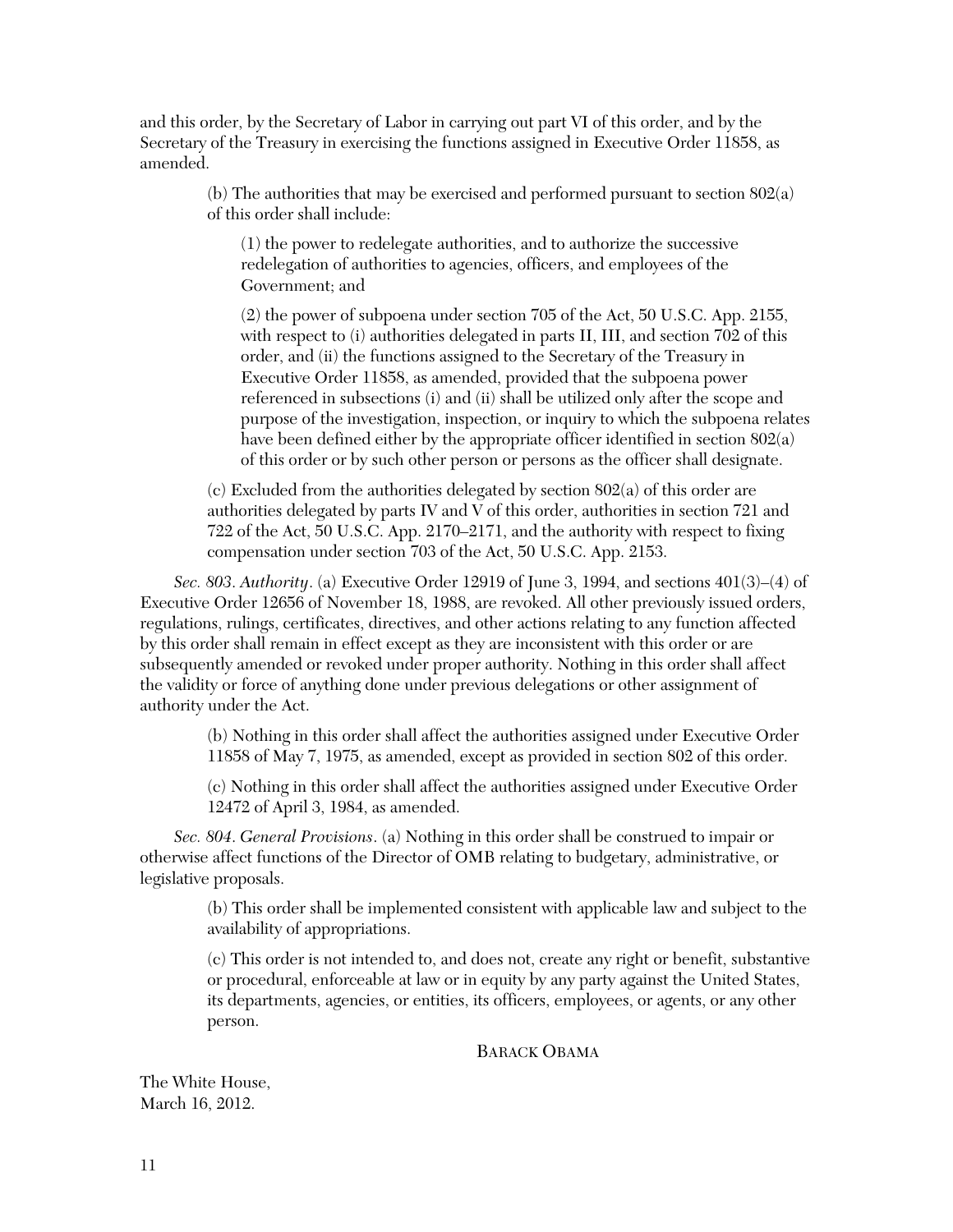and this order, by the Secretary of Labor in carrying out part VI of this order, and by the Secretary of the Treasury in exercising the functions assigned in Executive Order 11858, as amended.

> (b) The authorities that may be exercised and performed pursuant to section 802(a) of this order shall include:

(1) the power to redelegate authorities, and to authorize the successive redelegation of authorities to agencies, officers, and employees of the Government; and

(2) the power of subpoena under section 705 of the Act, 50 U.S.C. App. 2155, with respect to (i) authorities delegated in parts II, III, and section 702 of this order, and (ii) the functions assigned to the Secretary of the Treasury in Executive Order 11858, as amended, provided that the subpoena power referenced in subsections (i) and (ii) shall be utilized only after the scope and purpose of the investigation, inspection, or inquiry to which the subpoena relates have been defined either by the appropriate officer identified in section 802(a) of this order or by such other person or persons as the officer shall designate.

(c) Excluded from the authorities delegated by section 802(a) of this order are authorities delegated by parts IV and V of this order, authorities in section 721 and 722 of the Act, 50 U.S.C. App. 2170–2171, and the authority with respect to fixing compensation under section 703 of the Act, 50 U.S.C. App. 2153.

*Sec. 803*. *Authority*. (a) Executive Order 12919 of June 3, 1994, and sections 401(3)–(4) of Executive Order 12656 of November 18, 1988, are revoked. All other previously issued orders, regulations, rulings, certificates, directives, and other actions relating to any function affected by this order shall remain in effect except as they are inconsistent with this order or are subsequently amended or revoked under proper authority. Nothing in this order shall affect the validity or force of anything done under previous delegations or other assignment of authority under the Act.

(b) Nothing in this order shall affect the authorities assigned under Executive Order 11858 of May 7, 1975, as amended, except as provided in section 802 of this order.

(c) Nothing in this order shall affect the authorities assigned under Executive Order 12472 of April 3, 1984, as amended.

*Sec. 804*. *General Provisions*. (a) Nothing in this order shall be construed to impair or otherwise affect functions of the Director of OMB relating to budgetary, administrative, or legislative proposals.

> (b) This order shall be implemented consistent with applicable law and subject to the availability of appropriations.

> (c) This order is not intended to, and does not, create any right or benefit, substantive or procedural, enforceable at law or in equity by any party against the United States, its departments, agencies, or entities, its officers, employees, or agents, or any other person.

> > BARACK OBAMA

The White House, March 16, 2012.